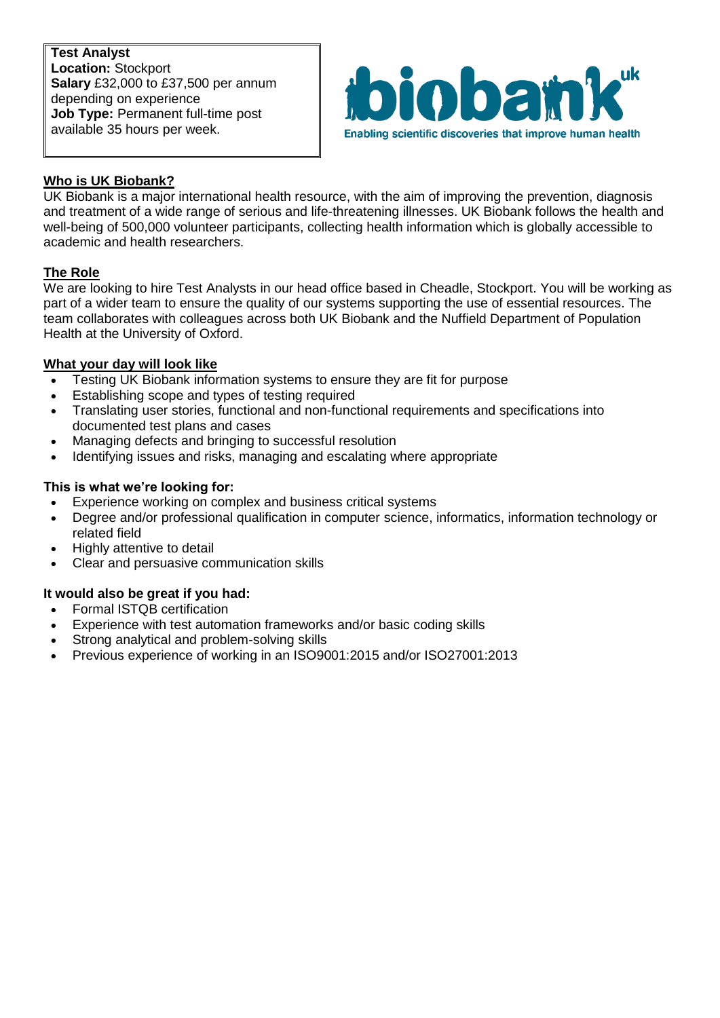**Test Analyst Location:** Stockport **Salary** £32,000 to £37,500 per annum depending on experience **Job Type:** Permanent full-time post available 35 hours per week.



# **Who is UK Biobank?**

UK Biobank is a major international health resource, with the aim of improving the prevention, diagnosis and treatment of a wide range of serious and life-threatening illnesses. UK Biobank follows the health and well-being of 500,000 volunteer participants, collecting health information which is globally accessible to academic and health researchers.

## **The Role**

We are looking to hire Test Analysts in our head office based in Cheadle, Stockport. You will be working as part of a wider team to ensure the quality of our systems supporting the use of essential resources. The team collaborates with colleagues across both UK Biobank and the Nuffield Department of Population Health at the University of Oxford.

## **What your day will look like**

- Testing UK Biobank information systems to ensure they are fit for purpose
- **Establishing scope and types of testing required**
- Translating user stories, functional and non-functional requirements and specifications into documented test plans and cases
- Managing defects and bringing to successful resolution
- Identifying issues and risks, managing and escalating where appropriate

## **This is what we're looking for:**

- Experience working on complex and business critical systems
- Degree and/or professional qualification in computer science, informatics, information technology or related field
- Highly attentive to detail
- Clear and persuasive communication skills

## **It would also be great if you had:**

- Formal ISTQB certification
- Experience with test automation frameworks and/or basic coding skills
- Strong analytical and problem-solving skills
- Previous experience of working in an ISO9001:2015 and/or ISO27001:2013